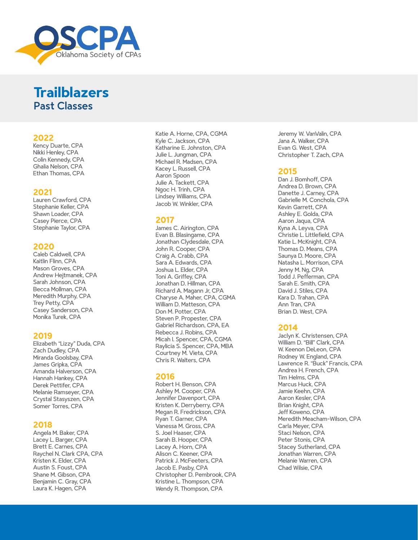

## **Trailblazers** Past Classes

#### **2022**

Kency Duarte, CPA Nikki Henley, CPA Colin Kennedy, CPA Ghalia Nelson, CPA Ethan Thomas, CPA

#### **2021**

Lauren Crawford, CPA Stephanie Keller, CPA Shawn Loader, CPA Casey Pierce, CPA Stephanie Taylor, CPA

#### **2020**

Caleb Caldwell, CPA Kaitlin Flinn, CPA Mason Groves, CPA Andrew Hejtmanek, CPA Sarah Johnson, CPA Becca Mollman, CPA Meredith Murphy, CPA Trey Petty, CPA Casey Sanderson, CPA Monika Turek, CPA

### **2019**

Elizabeth "Lizzy" Duda, CPA Zach Dudley, CPA Miranda Goolsbay, CPA James Gripka, CPA Amanda Halverson, CPA Hannah Hankey, CPA Derek Pettifer, CPA Melanie Ramseyer, CPA Crystal Stasyszen, CPA Somer Torres, CPA

#### **2018**

Angela M. Baker, CPA Lacey L. Barger, CPA Brett E. Carnes, CPA Raychel N. Clark CPA, CPA Kristen K. Elder, CPA Austin S. Foust, CPA Shane M. Gibson, CPA Benjamin C. Gray, CPA Laura K. Hagen, CPA

Katie A. Horne, CPA, CGMA Kyle C. Jackson, CPA Katharine E. Johnston, CPA Julie L. Jungman, CPA Michael R. Madsen, CPA Kacey L. Russell, CPA Aaron Spoon Julie A. Tackett, CPA Ngoc H. Trinh, CPA Lindsey Williams, CPA Jacob W. Winkler, CPA

### **2017**

James C. Airington, CPA Evan B. Blasingame, CPA Jonathan Clydesdale, CPA John R. Cooper, CPA Craig A. Crabb, CPA Sara A. Edwards, CPA Joshua L. Elder, CPA Toni A. Griffey, CPA Jonathan D. Hillman, CPA Richard A. Magann Jr, CPA Charyse A. Maher, CPA, CGMA William D. Matteson, CPA Don M. Potter, CPA Steven P. Propester, CPA Gabriel Richardson, CPA, EA Rebecca J. Robins, CPA Micah I. Spencer, CPA, CGMA Raylicia S. Spencer, CPA, MBA Courtney M. Vieta, CPA Chris R. Walters, CPA

## **2016**

Robert H. Benson, CPA Ashley M. Cooper, CPA Jennifer Davenport, CPA Kristen K. Derryberry, CPA Megan R. Fredrickson, CPA Ryan T. Garner, CPA Vanessa M. Gross, CPA S. Joel Haaser, CPA Sarah B. Hooper, CPA Lacey A. Horn, CPA Alison C. Keener, CPA Patrick J. McFeeters, CPA Jacob E. Pasby, CPA Christopher D. Pembrook, CPA Kristine L. Thompson, CPA Wendy R. Thompson, CPA

Jeremy W. VanValin, CPA Jana A. Walker, CPA Evan G. West, CPA Christopher T. Zach, CPA

#### **2015**

Dan J. Bomhoff, CPA Andrea D. Brown, CPA Danette J. Carney, CPA Gabrielle M. Conchola, CPA Kevin Garrett, CPA Ashley E. Golda, CPA Aaron Jaqua, CPA Kyna A. Leyva, CPA Christie L. Littlefield, CPA Katie L. McKnight, CPA Thomas D. Means, CPA Saunya D. Moore, CPA Natasha L. Morrison, CPA Jenny M. Ng, CPA Todd J. Pefferman, CPA Sarah E. Smith, CPA David J. Stiles, CPA Kara D. Trahan, CPA Ann Tran, CPA Brian D. West, CPA

## **2014**

Jaclyn K. Christensen, CPA William D. "Bill" Clark, CPA W. Keenon DeLeon, CPA Rodney W. England, CPA Lawrence R. "Buck" Francis, CPA Andrea H. French, CPA Tim Helms, CPA Marcus Huck, CPA Jamie Keehn, CPA Aaron Kesler, CPA Brian Knight, CPA Jeff Koweno, CPA Meredith Meacham-Wilson, CPA Carla Meyer, CPA Staci Nelson, CPA Peter Stonis, CPA Stacey Sutherland, CPA Jonathan Warren, CPA Melanie Warren, CPA Chad Wilsie, CPA